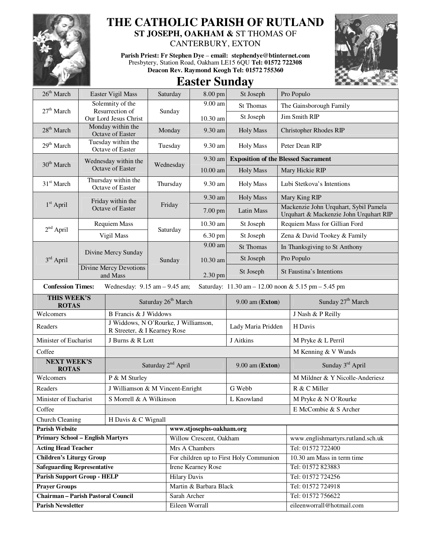

## **THE CATHOLIC PARISH OF RUTLAND ST JOSEPH, OAKHAM &** ST THOMAS OF

CANTERBURY, EXTON

**Parish Priest: Fr Stephen Dye** – **email: stephendye@btinternet.com** Presbytery, Station Road, Oakham LE15 6QU **Tel: 01572 722308 Deacon Rev. Raymond Keogh Tel: 01572 755360** 



## **Easter Sunday**

| $26th$ March                              | Easter Vigil Mass                        |                                                                      | Saturday                        | 8.00 pm                                 | St Joseph          | Pro Populo              |                                                                                 |  |
|-------------------------------------------|------------------------------------------|----------------------------------------------------------------------|---------------------------------|-----------------------------------------|--------------------|-------------------------|---------------------------------------------------------------------------------|--|
|                                           | Solemnity of the                         |                                                                      |                                 | $9.00$ am                               | St Thomas          | The Gainsborough Family |                                                                                 |  |
| $27th$ March                              | Resurrection of<br>Our Lord Jesus Christ |                                                                      | Sunday                          | 10.30 am                                | St Joseph          |                         | Jim Smith RIP                                                                   |  |
| $28th$ March                              | Monday within the<br>Octave of Easter    |                                                                      | Monday                          | 9.30 am                                 | <b>Holy Mass</b>   |                         | <b>Christopher Rhodes RIP</b>                                                   |  |
| 29 <sup>th</sup> March                    |                                          | Tuesday within the<br>Octave of Easter                               | Tuesday                         | 9.30 am                                 | <b>Holy Mass</b>   |                         | Peter Dean RIP                                                                  |  |
| 30 <sup>th</sup> March                    |                                          | Wednesday within the                                                 |                                 | 9.30 am                                 |                    |                         | <b>Exposition of the Blessed Sacrament</b>                                      |  |
|                                           |                                          | <b>Octave of Easter</b>                                              | Wednesday                       | $10.00$ am                              | <b>Holy Mass</b>   |                         | Mary Hickie RIP                                                                 |  |
| $31st$ March                              | Thursday within the<br>Octave of Easter  |                                                                      | Thursday                        | 9.30 am                                 | <b>Holy Mass</b>   |                         | Lubi Stetkova's Intentions                                                      |  |
|                                           | Friday within the                        |                                                                      |                                 | 9.30 am                                 | <b>Holy Mass</b>   |                         | Mary King RIP                                                                   |  |
| $1st$ April                               |                                          | Octave of Easter                                                     | Friday                          | 7.00 pm                                 | Latin Mass         |                         | Mackenzie John Urquhart, Sybil Pamela<br>Urquhart & Mackenzie John Urquhart RIP |  |
| $2nd$ April                               | <b>Requiem Mass</b>                      |                                                                      | Saturday                        | 10.30 am                                | St Joseph          |                         | Requiem Mass for Gillian Ford                                                   |  |
|                                           |                                          | Vigil Mass                                                           |                                 | 6.30 pm                                 | St Joseph          |                         | Zena & David Tookey & Family                                                    |  |
| $3rd$ April                               |                                          |                                                                      |                                 | 9.00 am                                 | <b>St Thomas</b>   |                         | In Thanksgiving to St Anthony                                                   |  |
|                                           | Divine Mercy Sunday                      |                                                                      | Sunday                          | 10.30 am                                | St Joseph          |                         | Pro Populo                                                                      |  |
|                                           |                                          | <b>Divine Mercy Devotions</b><br>and Mass                            |                                 | 2.30 pm                                 | St Joseph          |                         | St Faustina's Intentions                                                        |  |
| <b>Confession Times:</b>                  |                                          | Wednesday: $9.15$ am $- 9.45$ am;                                    |                                 |                                         |                    |                         | Saturday: 11.30 am - 12.00 noon & 5.15 pm - 5.45 pm                             |  |
| THIS WEEK'S<br><b>ROTAS</b>               |                                          |                                                                      | Saturday 26 <sup>th</sup> March | 9.00 am (Exton)                         |                    |                         | Sunday 27 <sup>th</sup> March                                                   |  |
| Welcomers<br>B Francis & J Widdows        |                                          |                                                                      |                                 |                                         |                    |                         | J Nash & P Reilly                                                               |  |
| Readers                                   |                                          | J Widdows, N O'Rourke, J Williamson,<br>R Streeter, & I Kearney Rose |                                 |                                         | Lady Maria Pridden |                         | H Davis                                                                         |  |
| Minister of Eucharist                     |                                          | J Burns & R Lott                                                     |                                 |                                         | J Aitkins          |                         | M Pryke & L Perril                                                              |  |
| Coffee                                    |                                          |                                                                      |                                 |                                         |                    |                         | M Kenning & V Wands                                                             |  |
| <b>NEXT WEEK'S</b><br><b>ROTAS</b>        |                                          | Saturday 2 <sup>nd</sup> April                                       |                                 |                                         | 9.00 am (Exton)    |                         | Sunday 3rd April                                                                |  |
| Welcomers                                 |                                          | P & M Sturley                                                        |                                 |                                         |                    |                         | M Mildner & Y Nicolle-Anderiesz                                                 |  |
| Readers                                   |                                          | J Williamson & M Vincent-Enright                                     |                                 |                                         | G Webb             |                         | R & C Miller                                                                    |  |
| Minister of Eucharist                     |                                          | S Morrell & A Wilkinson                                              |                                 |                                         | L Knowland         |                         | M Pryke & N O'Rourke                                                            |  |
| Coffee                                    |                                          |                                                                      |                                 |                                         |                    | E McCombie & S Archer   |                                                                                 |  |
| Church Cleaning<br>H Davis & C Wignall    |                                          |                                                                      |                                 |                                         |                    |                         |                                                                                 |  |
| <b>Parish Website</b>                     |                                          |                                                                      |                                 | www.stjosephs-oakham.org                |                    |                         |                                                                                 |  |
| <b>Primary School - English Martyrs</b>   |                                          |                                                                      |                                 | Willow Crescent, Oakham                 |                    |                         | www.englishmartyrs.rutland.sch.uk                                               |  |
| <b>Acting Head Teacher</b>                |                                          |                                                                      |                                 | Mrs A Chambers                          |                    |                         | Tel: 01572 722400                                                               |  |
| <b>Children's Liturgy Group</b>           |                                          |                                                                      |                                 | For children up to First Holy Communion |                    |                         | 10.30 am Mass in term time                                                      |  |
| <b>Safeguarding Representative</b>        |                                          |                                                                      |                                 | <b>Irene Kearney Rose</b>               |                    |                         | Tel: 01572 823883                                                               |  |
| <b>Parish Support Group - HELP</b>        |                                          |                                                                      |                                 | <b>Hilary Davis</b>                     |                    |                         | Tel: 01572 724256                                                               |  |
| <b>Prayer Groups</b>                      |                                          |                                                                      |                                 | Martin & Barbara Black                  |                    |                         | Tel: 01572 724918                                                               |  |
| <b>Chairman - Parish Pastoral Council</b> |                                          |                                                                      |                                 | Sarah Archer                            |                    |                         | Tel: 01572 756622                                                               |  |
| <b>Parish Newsletter</b>                  |                                          |                                                                      |                                 | Eileen Worrall                          |                    |                         | eileenworrall@hotmail.com                                                       |  |